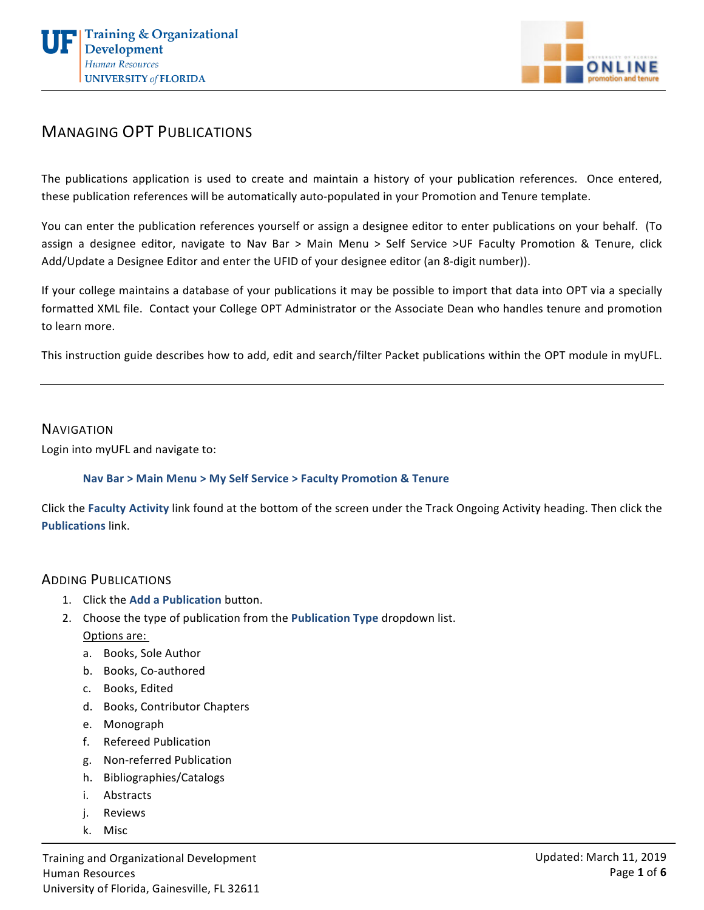



## **MANAGING OPT PUBLICATIONS**

The publications application is used to create and maintain a history of your publication references. Once entered, these publication references will be automatically auto-populated in your Promotion and Tenure template.

You can enter the publication references yourself or assign a designee editor to enter publications on your behalf. (To assign a designee editor, navigate to Nav Bar > Main Menu > Self Service >UF Faculty Promotion & Tenure, click Add/Update a Designee Editor and enter the UFID of your designee editor (an 8-digit number)).

If your college maintains a database of your publications it may be possible to import that data into OPT via a specially formatted XML file. Contact your College OPT Administrator or the Associate Dean who handles tenure and promotion to learn more.

This instruction guide describes how to add, edit and search/filter Packet publications within the OPT module in myUFL.

#### **NAVIGATION**

Login into myUFL and navigate to:

#### **Nav Bar > Main Menu > My Self Service > Faculty Promotion & Tenure**

Click the Faculty Activity link found at the bottom of the screen under the Track Ongoing Activity heading. Then click the **Publications** link.

### ADDING PUBLICATIONS

- 1. Click the Add a Publication button.
- 2. Choose the type of publication from the **Publication Type** dropdown list. Options are:
	- a. Books, Sole Author
	- b. Books, Co-authored
	- c. Books, Edited
	- d. Books, Contributor Chapters
	- e. Monograph
	- f. Refereed Publication
	- g. Non-referred Publication
	- h. Bibliographies/Catalogs
	- i. Abstracts
	- j. Reviews
	- k. Misc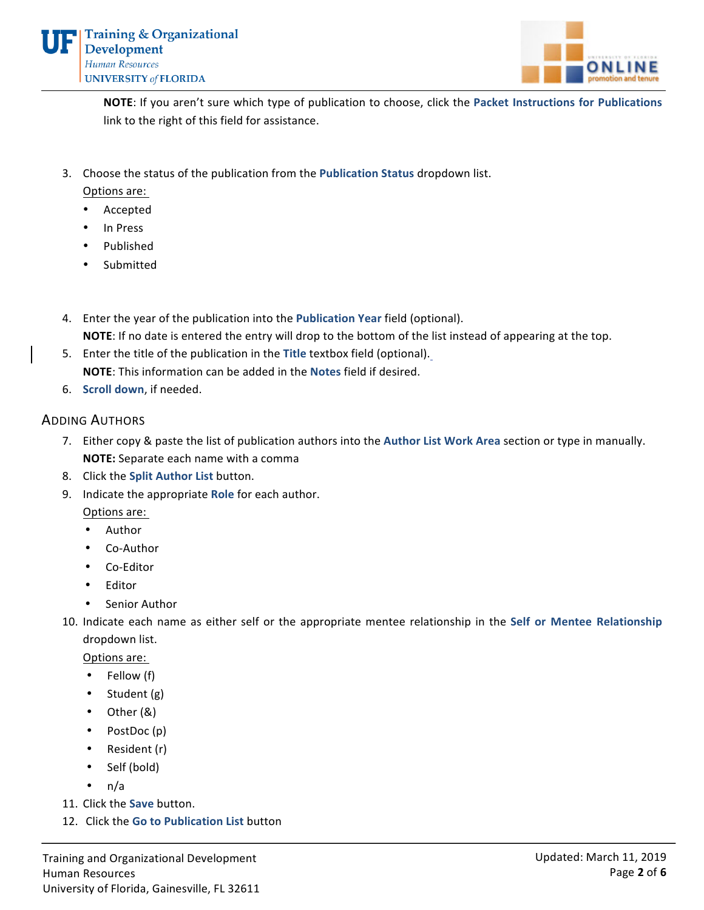

**NOTE:** If you aren't sure which type of publication to choose, click the Packet Instructions for Publications link to the right of this field for assistance.

3. Choose the status of the publication from the **Publication Status** dropdown list.

Options are:

- **Accepted**
- In Press
- Published
- **Submitted**
- 4. Enter the year of the publication into the **Publication Year** field (optional). **NOTE:** If no date is entered the entry will drop to the bottom of the list instead of appearing at the top.
- 5. Enter the title of the publication in the Title textbox field (optional). **NOTE:** This information can be added in the **Notes** field if desired.
- 6. **Scroll down**, if needed.

### **ADDING AUTHORS**

- 7. Either copy & paste the list of publication authors into the Author List Work Area section or type in manually. **NOTE:** Separate each name with a comma
- 8. Click the **Split Author List** button.
- 9. Indicate the appropriate **Role** for each author.

Options are: 

- Author
- Co-Author
- Co-Editor
- Editor
- Senior Author
- 10. Indicate each name as either self or the appropriate mentee relationship in the Self or Mentee Relationship dropdown list.

Options are:

- Fellow (f)
- $\bullet$  Student (g)
- $\bullet$  Other  $(8)$
- PostDoc(p)
- $\bullet$  Resident (r)
- Self (bold)
- $\cdot$  n/a
- 11. Click the **Save** button.
- 12. Click the **Go to Publication List** button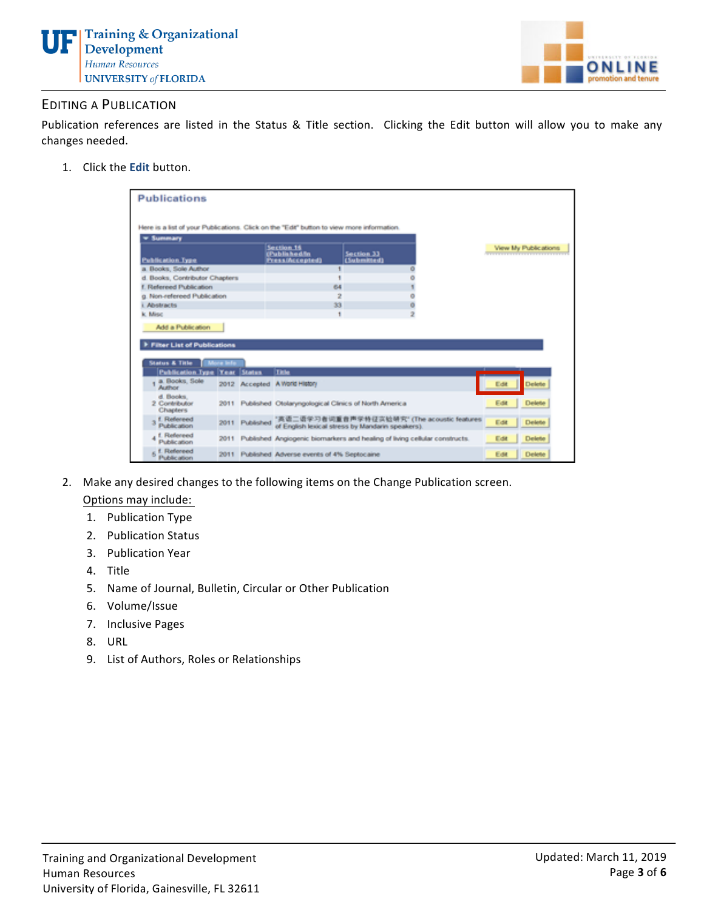



## **EDITING A PUBLICATION**

Publication references are listed in the Status & Title section. Clicking the Edit button will allow you to make any changes needed.

1. Click the **Edit** button.

| <b>* Summary</b>                                                                                  |           |                | Here is a list of your Publications. Click on the "Edit" button to view more information. |                           |                                             |      |                      |
|---------------------------------------------------------------------------------------------------|-----------|----------------|-------------------------------------------------------------------------------------------|---------------------------|---------------------------------------------|------|----------------------|
| <b>Publication Type</b>                                                                           |           |                | Section 16<br>(Published/In<br><b>PressiNccepted)</b>                                     | Section 33<br>(Submitted) |                                             |      | View My Publications |
| a. Books, Sole Author.                                                                            |           |                |                                                                                           |                           |                                             |      |                      |
| d. Books, Contributor Chapters                                                                    |           |                |                                                                                           |                           |                                             |      |                      |
| f. Refereed Publication                                                                           |           |                | 64                                                                                        |                           |                                             |      |                      |
| g. Non-refereed Publication                                                                       |           |                | $\overline{2}$                                                                            |                           |                                             |      |                      |
| i. Abstracts                                                                                      |           |                | 33                                                                                        |                           |                                             |      |                      |
| k. Misc                                                                                           |           |                | ٠                                                                                         |                           | $\overline{2}$                              |      |                      |
| F Filter List of Publications<br><b>Status &amp; Title</b><br><b>Publication Type Year Status</b> | Mora Info |                | <b>Title</b>                                                                              |                           |                                             |      |                      |
| a. Books, Sole<br><b>Author</b>                                                                   |           |                | 2012 Accepted A World History                                                             |                           |                                             | Edit | Delete               |
| d. Books.<br>2 Contributor<br><b>Chapters</b>                                                     |           |                | 2011 Published Otolaryngological Clinics of North America                                 |                           |                                             | Edit | Delete               |
| f. Refereed<br>Publication                                                                        |           | 2011 Published | of English lexical stress by Mandarin speakers).                                          |                           | '真语二语学习者词重音声学特征实验研究' (The acoustic features | Edit | Delete               |
| f. Refereed<br>Publication                                                                        |           |                | 2011 Published Angiogenic biomarkers and healing of living cellular constructs.           |                           |                                             | Edit | Delete               |
| 5 <sup>f</sup> . Refereed<br>Publication                                                          |           |                | 2011 Published Adverse events of 4% Septocaine                                            |                           |                                             | Edit | Delete               |

2. Make any desired changes to the following items on the Change Publication screen.

Options may include:

- 1. Publication Type
- 2. Publication Status
- 3. Publication Year
- 4. Title
- 5. Name of Journal, Bulletin, Circular or Other Publication
- 6. Volume/Issue
- 7. Inclusive Pages
- 8. URL
- 9. List of Authors, Roles or Relationships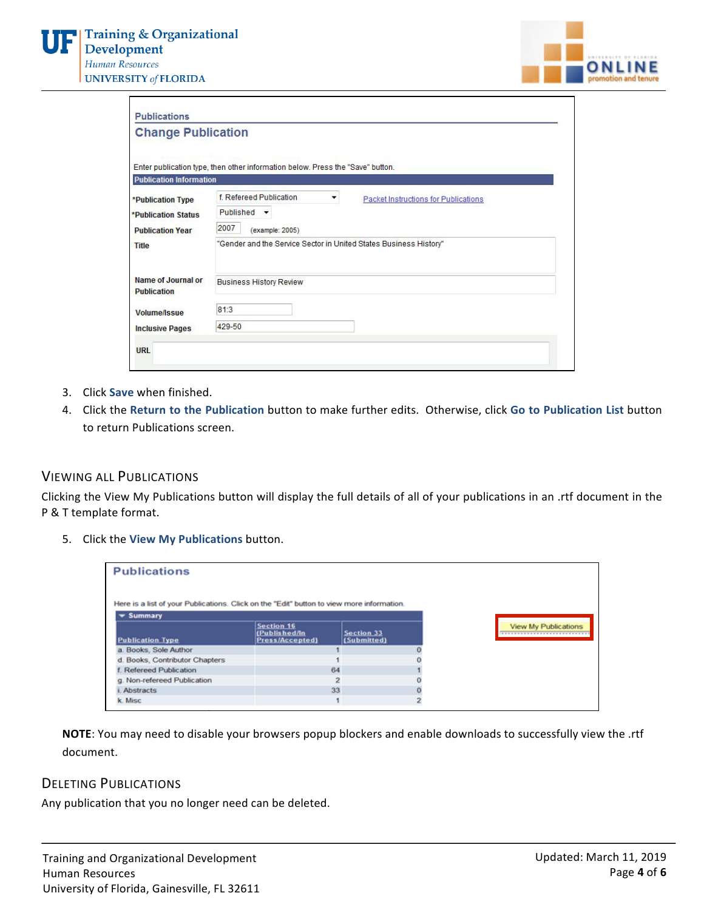Г



|                                | <b>Change Publication</b>                                                      |   |                                             |
|--------------------------------|--------------------------------------------------------------------------------|---|---------------------------------------------|
|                                | Enter publication type, then other information below. Press the "Save" button. |   |                                             |
| <b>Publication Information</b> |                                                                                |   |                                             |
| *Publication Type              | f. Refereed Publication                                                        | ▼ | <b>Packet Instructions for Publications</b> |
| <b>*Publication Status</b>     | Published v                                                                    |   |                                             |
| <b>Publication Year</b>        | 2007<br>(example: 2005)                                                        |   |                                             |
| <b>Title</b>                   | "Gender and the Service Sector in United States Business History"              |   |                                             |
| Name of Journal or             | <b>Business History Review</b>                                                 |   |                                             |
| <b>Publication</b>             |                                                                                |   |                                             |
| <b>Volume/Issue</b>            | 81:3                                                                           |   |                                             |

- 3. Click **Save** when finished.
- 4. Click the Return to the Publication button to make further edits. Otherwise, click Go to Publication List button to return Publications screen.

## **VIEWING ALL PUBLICATIONS**

Clicking the View My Publications button will display the full details of all of your publications in an .rtf document in the P & T template format.

5. Click the **View My Publications** button.

| <b>Publications</b>                                                                       |                                                |                           |                             |
|-------------------------------------------------------------------------------------------|------------------------------------------------|---------------------------|-----------------------------|
| Here is a list of your Publications. Click on the "Edit" button to view more information. |                                                |                           |                             |
| $\blacktriangledown$ Summary                                                              |                                                |                           |                             |
| <b>Publication Type</b>                                                                   | Section 16<br>(Published/In<br>Press/Accepted) | Section 33<br>(Submitted) | <b>View My Publications</b> |
| a. Books, Sole Author                                                                     |                                                |                           |                             |
| d. Books, Contributor Chapters                                                            |                                                |                           |                             |
| Refereed Publication                                                                      | 64                                             |                           |                             |
| g. Non-refereed Publication                                                               |                                                |                           |                             |
| Abstracts                                                                                 | 33                                             |                           |                             |
| k. Misc                                                                                   |                                                |                           |                             |

**NOTE:** You may need to disable your browsers popup blockers and enable downloads to successfully view the .rtf document.

#### **DELETING PUBLICATIONS**

Any publication that you no longer need can be deleted.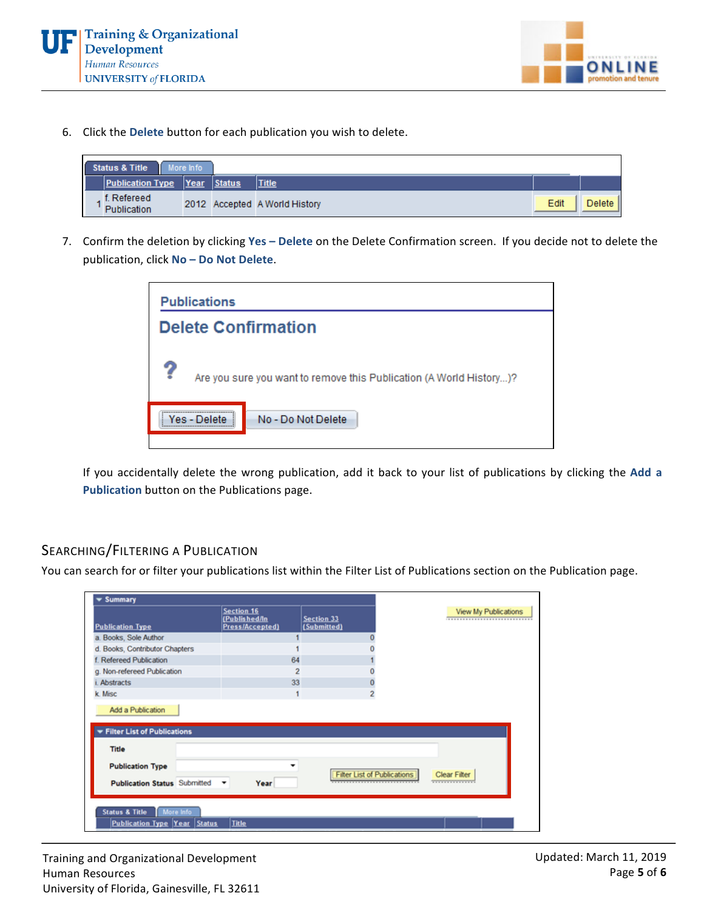



6. Click the Delete button for each publication you wish to delete.

|  | Status & Title<br>ш        | More Info |        |                               |      |        |
|--|----------------------------|-----------|--------|-------------------------------|------|--------|
|  | <b>Publication Type</b>    | Year      | Status | <b>Title</b>                  |      |        |
|  | f. Refereed<br>Publication |           |        | 2012 Accepted A World History | Edit | Delete |

7. Confirm the deletion by clicking Yes - Delete on the Delete Confirmation screen. If you decide not to delete the publication, click No - Do Not Delete.

| <b>Publications</b>                                                      |
|--------------------------------------------------------------------------|
| <b>Delete Confirmation</b>                                               |
| ?<br>Are you sure you want to remove this Publication (A World History)? |
| No - Do Not Delete<br>Yes - Delete                                       |

If you accidentally delete the wrong publication, add it back to your list of publications by clicking the Add a **Publication** button on the Publications page.

# SEARCHING/FILTERING A PUBLICATION

You can search for or filter your publications list within the Filter List of Publications section on the Publication page.

|                                |                |                                                | View My Publications             |
|--------------------------------|----------------|------------------------------------------------|----------------------------------|
|                                |                |                                                |                                  |
| d. Books, Contributor Chapters |                |                                                |                                  |
|                                | 64             |                                                |                                  |
|                                | $\overline{2}$ |                                                |                                  |
|                                | 33             |                                                |                                  |
|                                |                | 2                                              |                                  |
| Filter List of Publications    |                |                                                |                                  |
|                                |                | <b>Filter List of Publications</b>             | <b>Clear Filter</b>              |
|                                |                |                                                |                                  |
|                                |                | Section 16<br>(Published/In<br>Press/Accepted) | <b>Section 33</b><br>(Submitted) |

Training and Organizational Development Human Resources University of Florida, Gainesville, FL 32611